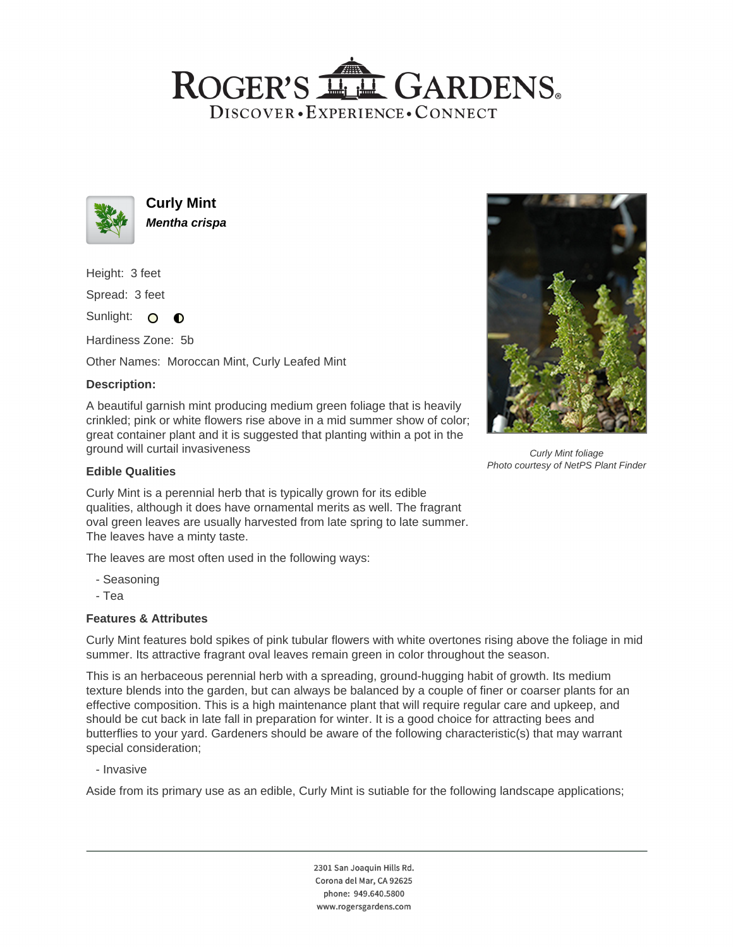# ROGER'S LL GARDENS. DISCOVER · EXPERIENCE · CONNECT



**Curly Mint Mentha crispa**

Height: 3 feet

Spread: 3 feet

Sunlight: O  $\bullet$ 

Hardiness Zone: 5b

Other Names: Moroccan Mint, Curly Leafed Mint

### **Description:**

A beautiful garnish mint producing medium green foliage that is heavily crinkled; pink or white flowers rise above in a mid summer show of color; great container plant and it is suggested that planting within a pot in the ground will curtail invasiveness



Curly Mint foliage Photo courtesy of NetPS Plant Finder

### **Edible Qualities**

Curly Mint is a perennial herb that is typically grown for its edible qualities, although it does have ornamental merits as well. The fragrant oval green leaves are usually harvested from late spring to late summer. The leaves have a minty taste.

The leaves are most often used in the following ways:

- Seasoning
- Tea

## **Features & Attributes**

Curly Mint features bold spikes of pink tubular flowers with white overtones rising above the foliage in mid summer. Its attractive fragrant oval leaves remain green in color throughout the season.

This is an herbaceous perennial herb with a spreading, ground-hugging habit of growth. Its medium texture blends into the garden, but can always be balanced by a couple of finer or coarser plants for an effective composition. This is a high maintenance plant that will require regular care and upkeep, and should be cut back in late fall in preparation for winter. It is a good choice for attracting bees and butterflies to your yard. Gardeners should be aware of the following characteristic(s) that may warrant special consideration;

- Invasive

Aside from its primary use as an edible, Curly Mint is sutiable for the following landscape applications;

2301 San Joaquin Hills Rd. Corona del Mar, CA 92625 phone: 949.640.5800 www.rogersgardens.com